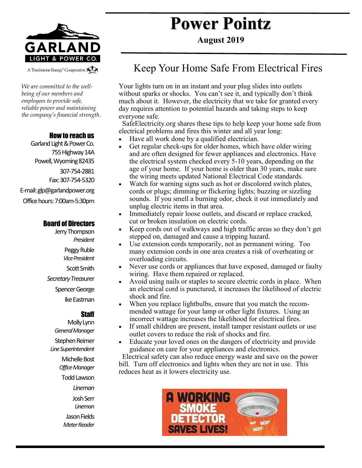

A Touchstone Energy<sup>®</sup> Cooperative A

*We are committed to the wellbeing of our members and employees to provide safe, reliable power and maintaining the company's financial strength.* 

#### How to reach us

Garland Light & Power Co. 755 Highway 14A Powell, Wyoming 82435 307-754-2881 Fax: 307-754-5320 E-mail: glp@garlandpower.org Office hours: 7:00am-5:30pm

#### Board of Directors

Jerry Thompson *President* Peggy Ruble *Vice President* Scott Smith *Secretary Treas*urer Spencer George Ike Eastman

#### **Staff**

Molly Lynn *General Manager* Stephen Reimer *Line Superintendent* Michelle Bost *Office Manager* Todd Lawson *Lineman* Josh Serr *Lineman* Jason Fields *Meter Reader*

# **Power Pointz**

**August 2019**

### Keep Your Home Safe From Electrical Fires

Your lights turn on in an instant and your plug slides into outlets without sparks or shocks. You can't see it, and typically don't think much about it. However, the electricity that we take for granted every day requires attention to potential hazards and taking steps to keep everyone safe.

 SafeElectricity.org shares these tips to help keep your home safe from electrical problems and fires this winter and all year long:

- Have all work done by a qualified electrician.
- Get regular check-ups for older homes, which have older wiring and are often designed for fewer appliances and electronics. Have the electrical system checked every 5-10 years, depending on the age of your home. If your home is older than 30 years, make sure the wiring meets updated National Electrical Code standards.
- Watch for warning signs such as hot or discolored switch plates, cords or plugs; dimming or flickering lights; buzzing or sizzling sounds. If you smell a burning odor, check it out immediately and unplug electric items in that area.
- Immediately repair loose outlets, and discard or replace cracked, cut or broken insulation on electric cords.
- Keep cords out of walkways and high traffic areas so they don't get stepped on, damaged and cause a tripping hazard.
- Use extension cords temporarily, not as permanent wiring. Too many extension cords in one area creates a risk of overheating or overloading circuits.
- Never use cords or appliances that have exposed, damaged or faulty wiring. Have them repaired or replaced.
- Avoid using nails or staples to secure electric cords in place. When an electrical cord is punctured, it increases the likelihood of electric shock and fire.
- When you replace lightbulbs, ensure that you match the recommended wattage for your lamp or other light fixtures. Using an incorrect wattage increases the likelihood for electrical fires.
- If small children are present, install tamper resistant outlets or use outlet covers to reduce the risk of shocks and fire.
- Educate your loved ones on the dangers of electricity and provide guidance on care for your appliances and electronics.

 Electrical safety can also reduce energy waste and save on the power bill. Turn off electronics and lights when they are not in use. This reduces heat as it lowers electricity use.

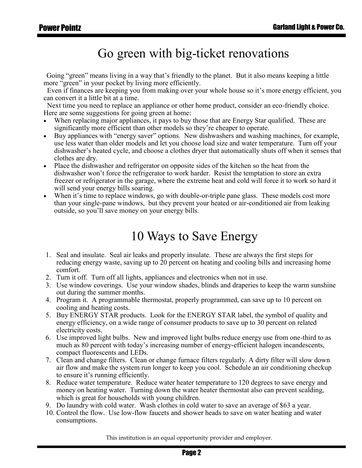### Go green with big-ticket renovations

Going "green" means living in a way that's friendly to the planet. But it also means keeping a little more "green" in your pocket by living more efficiently.

 Even if finances are keeping you from making over your whole house so it's more energy efficient, you can convert it a little bit at a time.

 Next time you need to replace an appliance or other home product, consider an eco-friendly choice. Here are some suggestions for going green at home:

- When replacing major appliances, it pays to buy those that are Energy Star qualified. These are significantly more efficient than other models so they're cheaper to operate.
- Buy appliances with "energy saver" options. New dishwashers and washing machines, for example, use less water than older models and let you choose load size and water temperature. Turn off your dishwasher's heated cycle, and choose a clothes dryer that automatically shuts off when it senses that clothes are dry.
- Place the dishwasher and refrigerator on opposite sides of the kitchen so the heat from the dishwasher won't force the refrigerator to work harder. Resist the temptation to store an extra freezer or refrigerator in the garage, where the extreme heat and cold will force it to work so hard it will send your energy bills soaring.
- When it's time to replace windows, go with double-or-triple pane glass. These models cost more than your single-pane windows, but they prevent your heated or air-conditioned air from leaking outside, so you'll save money on your energy bills.

## 10 Ways to Save Energy

- 1. Seal and insulate. Seal air leaks and properly insulate. These are always the first steps for reducing energy waste, saving up to 20 percent on heating and cooling bills and increasing home comfort.
- 2. Turn it off. Turn off all lights, appliances and electronics when not in use.
- 3. Use window coverings. Use your window shades, blinds and draperies to keep the warm sunshine out during the summer months.
- 4. Program it. A programmable thermostat, properly programmed, can save up to 10 percent on cooling and heating costs.
- 5. Buy ENERGY STAR products. Look for the ENERGY STAR label, the symbol of quality and energy efficiency, on a wide range of consumer products to save up to 30 percent on related electricity costs.
- 6. Use improved light bulbs. New and improved light bulbs reduce energy use from one-third to as much as 80 percent with today's increasing number of energy-efficient halogen incandescents, compact fluorescents and LEDs.
- 7. Clean and change filters. Clean or change furnace filters regularly. A dirty filter will slow down air flow and make the system run longer to keep you cool. Schedule an air conditioning checkup to ensure it's running efficiently.
- 8. Reduce water temperature. Reduce water heater temperature to 120 degrees to save energy and money on heating water. Turning down the water heater thermostat also can prevent scalding, which is great for households with young children.
- 9. Do laundry with cold water. Wash clothes in cold water to save an average of \$63 a year.
- 10. Control the flow. Use low-flow faucets and shower heads to save on water heating and water consumptions.

This institution is an equal opportunity provider and employer.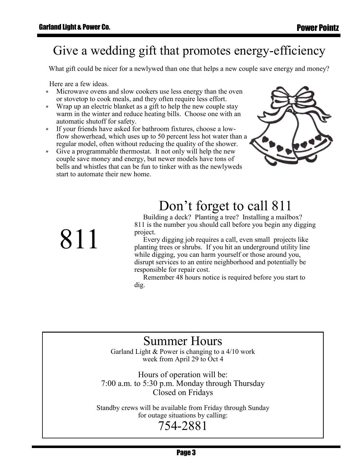## Give a wedding gift that promotes energy-efficiency

What gift could be nicer for a newlywed than one that helps a new couple save energy and money?

Here are a few ideas.

811

- Microwave ovens and slow cookers use less energy than the oven or stovetop to cook meals, and they often require less effort.
- Wrap up an electric blanket as a gift to help the new couple stay warm in the winter and reduce heating bills. Choose one with an automatic shutoff for safety.
- If your friends have asked for bathroom fixtures, choose a lowflow showerhead, which uses up to 50 percent less hot water than a regular model, often without reducing the quality of the shower.
- Give a programmable thermostat. It not only will help the new couple save money and energy, but newer models have tons of bells and whistles that can be fun to tinker with as the newlyweds start to automate their new home.



## Don't forget to call 811

 Building a deck? Planting a tree? Installing a mailbox? 811 is the number you should call before you begin any digging project.

 Every digging job requires a call, even small projects like planting trees or shrubs. If you hit an underground utility line while digging, you can harm yourself or those around you, disrupt services to an entire neighborhood and potentially be responsible for repair cost.

 Remember 48 hours notice is required before you start to dig.

### Summer Hours

Garland Light & Power is changing to a 4/10 work week from April 29 to Oct 4

Hours of operation will be: 7:00 a.m. to 5:30 p.m. Monday through Thursday Closed on Fridays

Standby crews will be available from Friday through Sunday for outage situations by calling:

#### 754-2881

Page 3